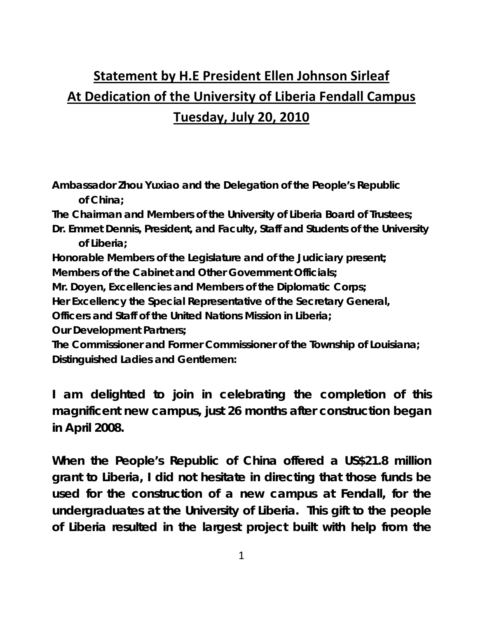## **Statement by H.E President Ellen Johnson Sirleaf At Dedication of the University of Liberia Fendall Campus Tuesday, July 20, 2010**

**Ambassador Zhou Yuxiao and the Delegation of the People's Republic of China;** 

**The Chairman and Members of the University of Liberia Board of Trustees;** 

**Dr. Emmet Dennis, President, and Faculty, Staff and Students of the University of Liberia;** 

**Honorable Members of the Legislature and of the Judiciary present;** 

**Members of the Cabinet and Other Government Officials;** 

**Mr. Doyen, Excellencies and Members of the Diplomatic Corps;** 

**Her Excellency the Special Representative of the Secretary General,** 

**Officers and Staff of the United Nations Mission in Liberia;** 

**Our Development Partners;** 

**The Commissioner and Former Commissioner of the Township of Louisiana; Distinguished Ladies and Gentlemen:** 

**I am delighted to join in celebrating the completion of this magnificent new campus, just 26 months after construction began in April 2008.** 

**When the People's Republic of China offered a US\$21.8 million grant to Liberia, I did not hesitate in directing that those funds be used for the construction of a new campus at Fendall, for the undergraduates at the University of Liberia. This gift to the people of Liberia resulted in the largest project built with help from the**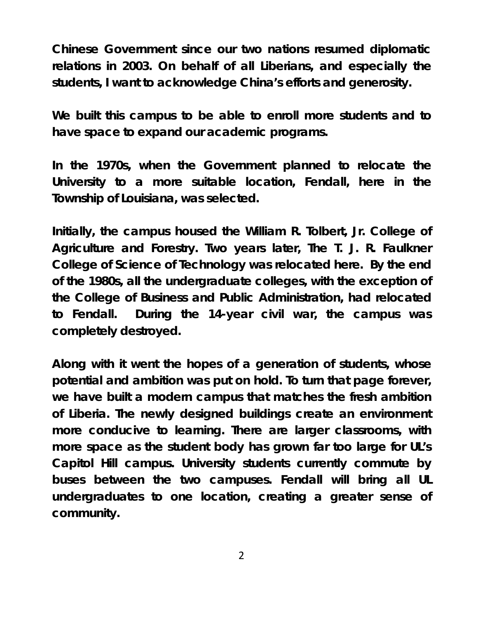**Chinese Government since our two nations resumed diplomatic relations in 2003. On behalf of all Liberians, and especially the students, I want to acknowledge China's efforts and generosity.** 

**We built this campus to be able to enroll more students and to have space to expand our academic programs.** 

**In the 1970s, when the Government planned to relocate the University to a more suitable location, Fendall, here in the Township of Louisiana, was selected.** 

**Initially, the campus housed the William R. Tolbert, Jr. College of Agriculture and Forestry. Two years later, The T. J. R. Faulkner College of Science of Technology was relocated here. By the end of the 1980s, all the undergraduate colleges, with the exception of the College of Business and Public Administration, had relocated to Fendall. During the 14-year civil war, the campus was completely destroyed.** 

**Along with it went the hopes of a generation of students, whose potential and ambition was put on hold. To turn that page forever, we have built a modern campus that matches the fresh ambition of Liberia. The newly designed buildings create an environment more conducive to learning. There are larger classrooms, with more space as the student body has grown far too large for UL's Capitol Hill campus. University students currently commute by buses between the two campuses. Fendall will bring all UL undergraduates to one location, creating a greater sense of community.** 

2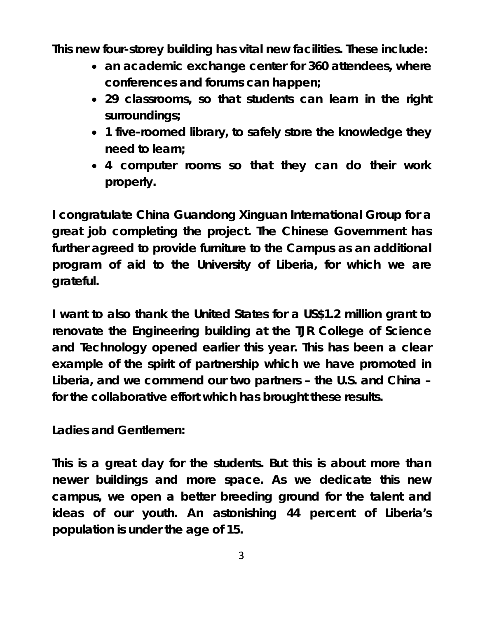**This new four-storey building has vital new facilities. These include:** 

- **an academic exchange center for 360 attendees, where conferences and forums can happen;**
- **29 classrooms, so that students can learn in the right surroundings;**
- **1 five-roomed library, to safely store the knowledge they need to learn;**
- **4 computer rooms so that they can do their work properly.**

**I congratulate China Guandong Xinguan International Group for a great job completing the project. The Chinese Government has further agreed to provide furniture to the Campus as an additional program of aid to the University of Liberia, for which we are grateful.** 

**I want to also thank the United States for a US\$1.2 million grant to renovate the Engineering building at the TJR College of Science and Technology opened earlier this year. This has been a clear example of the spirit of partnership which we have promoted in Liberia, and we commend our two partners – the U.S. and China – for the collaborative effort which has brought these results.** 

**Ladies and Gentlemen:** 

**This is a great day for the students. But this is about more than newer buildings and more space. As we dedicate this new campus, we open a better breeding ground for the talent and ideas of our youth. An astonishing 44 percent of Liberia's population is under the age of 15.**